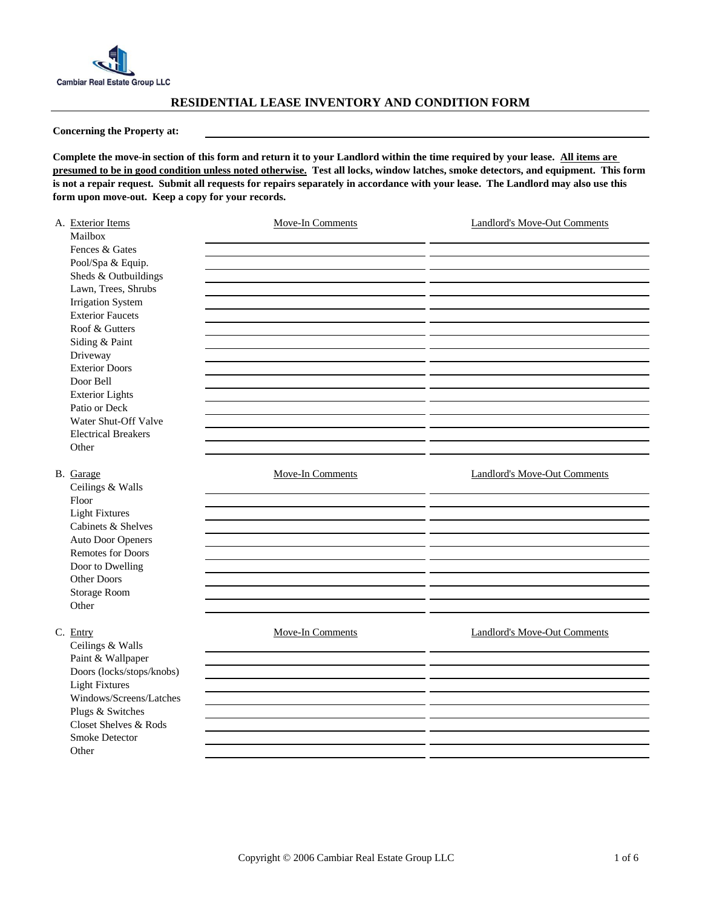

## **RESIDENTIAL LEASE INVENTORY AND CONDITION FORM**

**Concerning the Property at:** 

**Complete the move-in section of this form and return it to your Landlord within the time required by your lease. All items are presumed to be in good condition unless noted otherwise. Test all locks, window latches, smoke detectors, and equipment. This form is not a repair request. Submit all requests for repairs separately in accordance with your lease. The Landlord may also use this form upon move-out. Keep a copy for your records.** 

| A. Exterior Items<br>Mailbox<br>Fences & Gates<br>Pool/Spa & Equip.<br>Sheds & Outbuildings<br>Lawn, Trees, Shrubs<br><b>Irrigation System</b><br><b>Exterior Faucets</b><br>Roof & Gutters<br>Siding & Paint<br>Driveway<br><b>Exterior Doors</b><br>Door Bell<br><b>Exterior Lights</b><br>Patio or Deck<br>Water Shut-Off Valve<br><b>Electrical Breakers</b> | <b>Move-In Comments</b> | <b>Landlord's Move-Out Comments</b> |
|------------------------------------------------------------------------------------------------------------------------------------------------------------------------------------------------------------------------------------------------------------------------------------------------------------------------------------------------------------------|-------------------------|-------------------------------------|
| Other                                                                                                                                                                                                                                                                                                                                                            |                         |                                     |
|                                                                                                                                                                                                                                                                                                                                                                  |                         |                                     |
| B. Garage<br>Ceilings & Walls                                                                                                                                                                                                                                                                                                                                    | <b>Move-In Comments</b> | <b>Landlord's Move-Out Comments</b> |
| Floor                                                                                                                                                                                                                                                                                                                                                            |                         |                                     |
| <b>Light Fixtures</b>                                                                                                                                                                                                                                                                                                                                            |                         |                                     |
| Cabinets & Shelves                                                                                                                                                                                                                                                                                                                                               |                         |                                     |
| <b>Auto Door Openers</b>                                                                                                                                                                                                                                                                                                                                         |                         |                                     |
| <b>Remotes for Doors</b>                                                                                                                                                                                                                                                                                                                                         |                         |                                     |
| Door to Dwelling                                                                                                                                                                                                                                                                                                                                                 |                         |                                     |
| Other Doors                                                                                                                                                                                                                                                                                                                                                      |                         |                                     |
| Storage Room<br>Other                                                                                                                                                                                                                                                                                                                                            |                         |                                     |
|                                                                                                                                                                                                                                                                                                                                                                  |                         |                                     |
| C. Entry<br>Ceilings & Walls                                                                                                                                                                                                                                                                                                                                     | Move-In Comments        | <b>Landlord's Move-Out Comments</b> |
| Paint & Wallpaper                                                                                                                                                                                                                                                                                                                                                |                         |                                     |
| Doors (locks/stops/knobs)                                                                                                                                                                                                                                                                                                                                        |                         |                                     |
| <b>Light Fixtures</b>                                                                                                                                                                                                                                                                                                                                            |                         |                                     |
| Windows/Screens/Latches                                                                                                                                                                                                                                                                                                                                          |                         |                                     |
| Plugs & Switches                                                                                                                                                                                                                                                                                                                                                 |                         |                                     |
| Closet Shelves & Rods                                                                                                                                                                                                                                                                                                                                            |                         |                                     |
| Smoke Detector                                                                                                                                                                                                                                                                                                                                                   |                         |                                     |
| Other                                                                                                                                                                                                                                                                                                                                                            |                         |                                     |
|                                                                                                                                                                                                                                                                                                                                                                  |                         |                                     |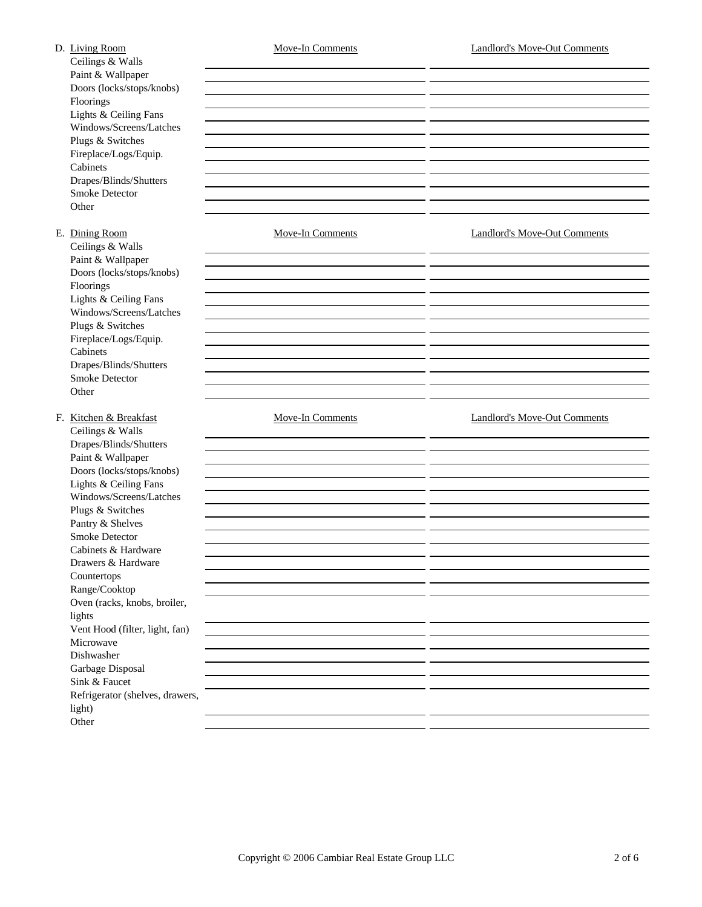| D. Living Room<br>Ceilings & Walls<br>Paint & Wallpaper<br>Doors (locks/stops/knobs)<br>Floorings<br>Lights & Ceiling Fans<br>Windows/Screens/Latches<br>Plugs & Switches<br>Fireplace/Logs/Equip.<br>Cabinets<br>Drapes/Blinds/Shutters<br><b>Smoke Detector</b><br>Other                                                                                                                                                                                                                                          | <b>Move-In Comments</b><br>- -<br><u> 1989 - Andrea Stadt Britain, amerikansk politik (* 1908)</u> | <b>Landlord's Move-Out Comments</b> |
|---------------------------------------------------------------------------------------------------------------------------------------------------------------------------------------------------------------------------------------------------------------------------------------------------------------------------------------------------------------------------------------------------------------------------------------------------------------------------------------------------------------------|----------------------------------------------------------------------------------------------------|-------------------------------------|
| E. Dining Room<br>Ceilings & Walls<br>Paint & Wallpaper<br>Doors (locks/stops/knobs)<br>Floorings<br>Lights & Ceiling Fans<br>Windows/Screens/Latches<br>Plugs & Switches<br>Fireplace/Logs/Equip.<br>Cabinets<br>Drapes/Blinds/Shutters<br>Smoke Detector<br>Other                                                                                                                                                                                                                                                 | <b>Move-In Comments</b>                                                                            | <b>Landlord's Move-Out Comments</b> |
| F. Kitchen & Breakfast<br>Ceilings & Walls<br>Drapes/Blinds/Shutters<br>Paint & Wallpaper<br>Doors (locks/stops/knobs)<br>Lights & Ceiling Fans<br>Windows/Screens/Latches<br>Plugs & Switches<br>Pantry & Shelves<br>Smoke Detector<br>Cabinets & Hardware<br>Drawers & Hardware<br>Countertops<br>Range/Cooktop<br>Oven (racks, knobs, broiler,<br>lights<br>Vent Hood (filter, light, fan)<br>Microwave<br>Dishwasher<br>Garbage Disposal<br>Sink & Faucet<br>Refrigerator (shelves, drawers,<br>light)<br>Other | <b>Move-In Comments</b><br>___                                                                     | <b>Landlord's Move-Out Comments</b> |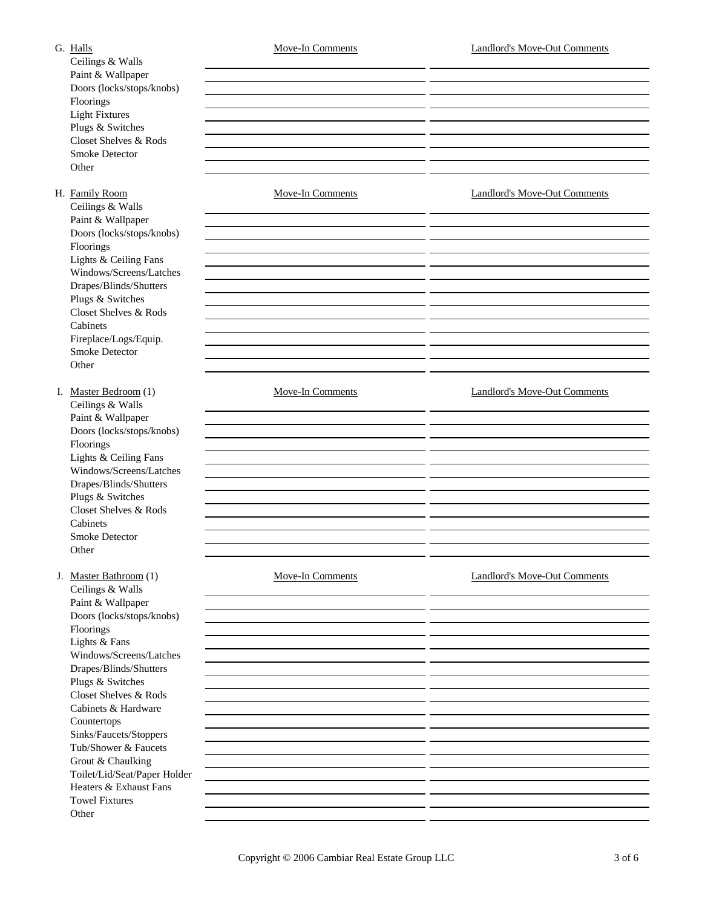Ceilings & Walls Paint & Wallpaper Doors (locks/stops/knobs) Floorings Light Fixtures Plugs & Switches Closet Shelves & Rods Smoke Detector **Other** 

Ceilings & Walls

Paint & Wallpaper Doors (locks/stops/knobs) Floorings Lights & Ceiling Fans Windows/Screens/Latches Drapes/Blinds/Shutters Plugs & Switches Closet Shelves & Rods Cabinets Fireplace/Logs/Equip. Smoke Detector **Other** 

Ceilings & Walls Paint & Wallpaper Doors (locks/stops/knobs) Floorings Lights & Ceiling Fans Windows/Screens/Latches Drapes/Blinds/Shutters Plugs & Switches Closet Shelves & Rods Cabinets Smoke Detector **Other** 

Ceilings & Walls Paint & Wallpaper Doors (locks/stops/knobs) Floorings Lights & Fans Windows/Screens/Latches Drapes/Blinds/Shutters Plugs & Switches Closet Shelves & Rods Cabinets & Hardware Countertops Sinks/Faucets/Stoppers Tub/Shower & Faucets Grout & Chaulking Toilet/Lid/Seat/Paper Holder Heaters & Exhaust Fans Towel Fixtures **Other** 

H. Family Room Move-In Comments Move-Incomments Landlord's Move-Out Comments I. Master Bedroom (1) Move-In Comments Landlord's Move-Out Comments J. Master Bathroom (1) Move-In Comments Landlord's Move-Out Comments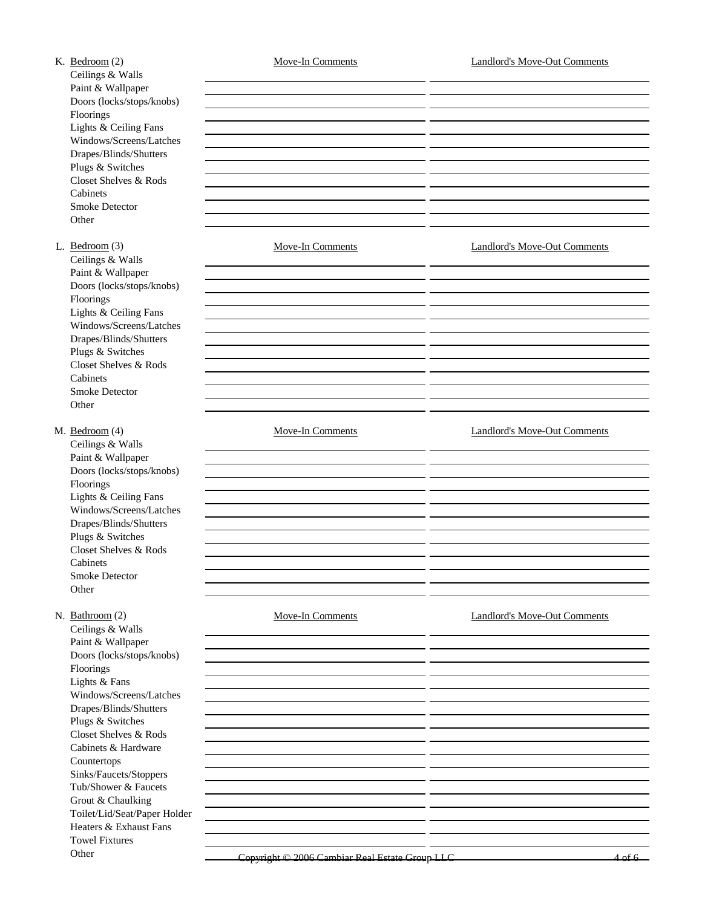K. Bedroom (2) Move-In Comments Landlord's Move-Out Comments Ceilings & Walls Paint & Wallpaper Doors (locks/stops/knobs) Floorings Lights & Ceiling Fans Windows/Screens/Latches Drapes/Blinds/Shutters Plugs & Switches Closet Shelves & Rods Cabinets Smoke Detector **Other** L. Bedroom (3) Move-In Comments Landlord's Move-Out Comments Ceilings & Walls Paint & Wallpaper Doors (locks/stops/knobs) Floorings Lights & Ceiling Fans Windows/Screens/Latches Drapes/Blinds/Shutters Plugs & Switches Closet Shelves & Rods Cabinets Smoke Detector **Other** M. Bedroom (4) Move-In Comments Move-Incomments Landlord's Move-Out Comments Ceilings & Walls Paint & Wallpaper Doors (locks/stops/knobs) Floorings Lights & Ceiling Fans Windows/Screens/Latches Drapes/Blinds/Shutters Plugs & Switches Closet Shelves & Rods Cabinets Smoke Detector **Other** N. Bathroom (2) Move-In Comments Landlord's Move-Out Comments Ceilings & Walls Paint & Wallpaper Doors (locks/stops/knobs) Floorings Lights & Fans Windows/Screens/Latches Drapes/Blinds/Shutters Plugs & Switches Closet Shelves & Rods Cabinets & Hardware Countertops Sinks/Faucets/Stoppers Tub/Shower & Faucets Grout & Chaulking Toilet/Lid/Seat/Paper Holder Heaters & Exhaust Fans Towel Fixtures Other Copyright © 2006 Cambiar Real Estate Group LLC 4 of 6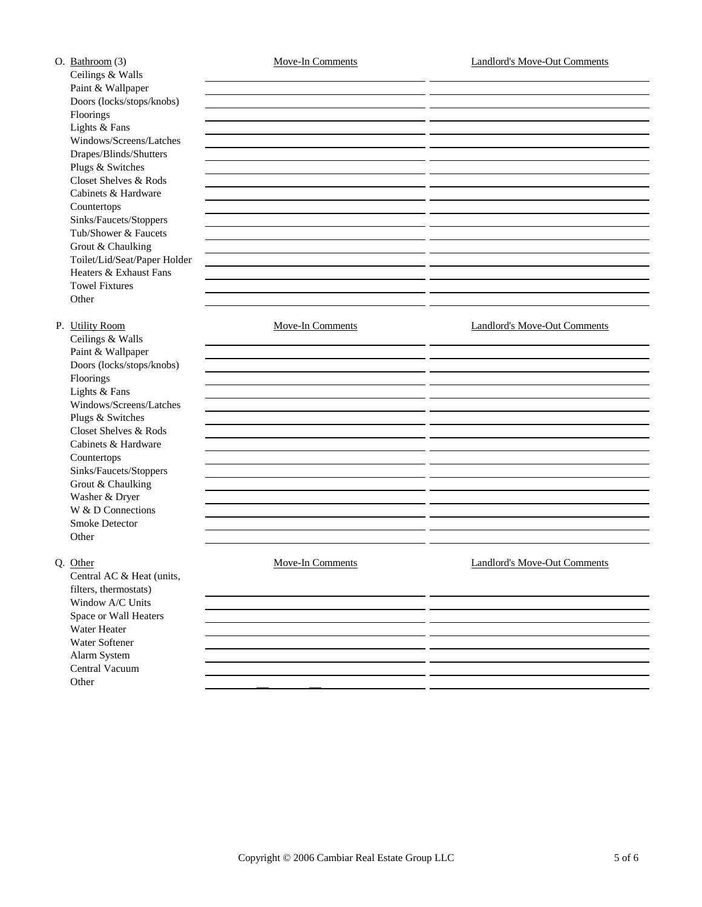| O. Bathroom (3)              | <b>Move-In Comments</b> | <b>Landlord's Move-Out Comments</b> |
|------------------------------|-------------------------|-------------------------------------|
| Ceilings & Walls             |                         |                                     |
| Paint & Wallpaper            |                         |                                     |
| Doors (locks/stops/knobs)    |                         |                                     |
| Floorings                    |                         |                                     |
| Lights & Fans                |                         |                                     |
| Windows/Screens/Latches      |                         |                                     |
| Drapes/Blinds/Shutters       |                         |                                     |
| Plugs & Switches             |                         |                                     |
| Closet Shelves & Rods        |                         |                                     |
| Cabinets & Hardware          |                         |                                     |
| Countertops                  |                         |                                     |
| Sinks/Faucets/Stoppers       |                         |                                     |
| Tub/Shower & Faucets         |                         |                                     |
| Grout & Chaulking            |                         |                                     |
| Toilet/Lid/Seat/Paper Holder |                         |                                     |
| Heaters & Exhaust Fans       |                         |                                     |
| <b>Towel Fixtures</b>        |                         |                                     |
| Other                        |                         |                                     |
| P. Utility Room              | <b>Move-In Comments</b> | <b>Landlord's Move-Out Comments</b> |
| Ceilings & Walls             |                         |                                     |
| Paint & Wallpaper            |                         |                                     |
| Doors (locks/stops/knobs)    |                         |                                     |
| Floorings                    |                         |                                     |
| Lights & Fans                |                         |                                     |
| Windows/Screens/Latches      |                         |                                     |
| Plugs & Switches             |                         |                                     |
| Closet Shelves & Rods        |                         |                                     |
| Cabinets & Hardware          |                         |                                     |
| Countertops                  |                         |                                     |
| Sinks/Faucets/Stoppers       |                         |                                     |
| Grout & Chaulking            |                         |                                     |
| Washer & Dryer               |                         |                                     |
| W & D Connections            |                         |                                     |
| <b>Smoke Detector</b>        |                         |                                     |
| Other                        |                         |                                     |
| Q. Other                     | <b>Move-In Comments</b> | <b>Landlord's Move-Out Comments</b> |
| Central AC & Heat (units,    |                         |                                     |
| filters, thermostats)        |                         |                                     |
| Window A/C Units             |                         |                                     |
| Space or Wall Heaters        |                         |                                     |
| Water Heater                 |                         |                                     |
| Water Softener               |                         |                                     |
| Alarm System                 |                         |                                     |
| Central Vacuum               |                         |                                     |
| Other                        |                         |                                     |
|                              |                         |                                     |